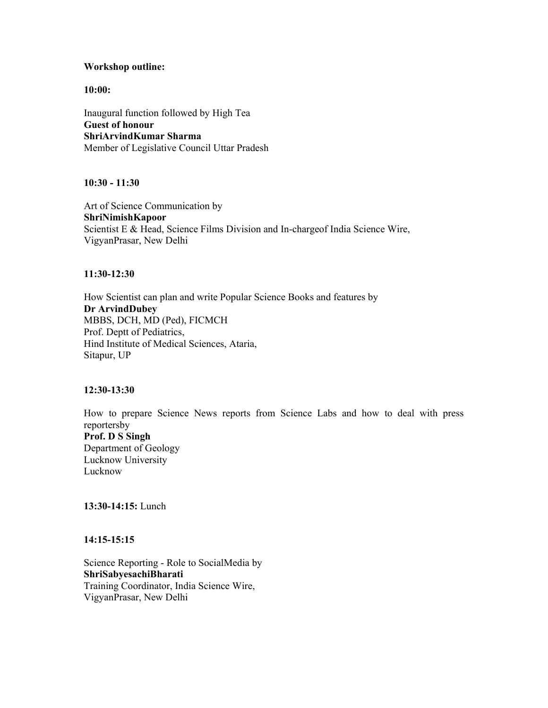### **Workshop outline:**

**10:00:**

Inaugural function followed by High Tea **Guest of honour ShriArvindKumar Sharma**  Member of Legislative Council Uttar Pradesh

**10:30 - 11:30**

Art of Science Communication by **ShriNimishKapoor**  Scientist E & Head, Science Films Division and In-chargeof India Science Wire, VigyanPrasar, New Delhi

## **11:30-12:30**

How Scientist can plan and write Popular Science Books and features by **Dr ArvindDubey**  MBBS, DCH, MD (Ped), FICMCH Prof. Deptt of Pediatrics, Hind Institute of Medical Sciences, Ataria, Sitapur, UP

# **12:30-13:30**

How to prepare Science News reports from Science Labs and how to deal with press reportersby **Prof. D S Singh**  Department of Geology Lucknow University Lucknow

**13:30-14:15:** Lunch

# **14:15-15:15**

Science Reporting - Role to SocialMedia by **ShriSabyesachiBharati**  Training Coordinator, India Science Wire, VigyanPrasar, New Delhi